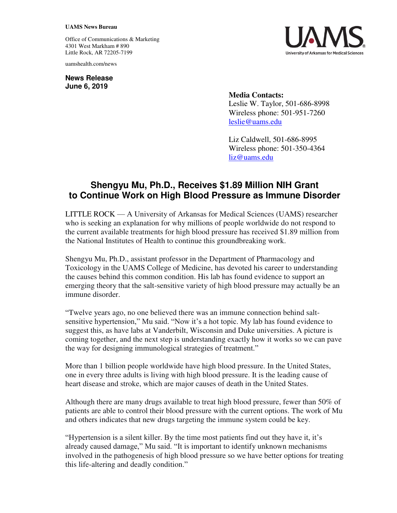## **UAMS News Bureau**

Office of Communications & Marketing 4301 West Markham # 890 Little Rock, AR 72205-7199

uamshealth.com/news

**News Release June 6, 2019**



Liz Caldwell, 501-686-8995 Wireless phone: 501-350-4364 [liz@uams.edu](mailto:liz@uams.edu)

## **Shengyu Mu, Ph.D., Receives \$1.89 Million NIH Grant to Continue Work on High Blood Pressure as Immune Disorder**

LITTLE ROCK — A University of Arkansas for Medical Sciences (UAMS) researcher who is seeking an explanation for why millions of people worldwide do not respond to the current available treatments for high blood pressure has received \$1.89 million from the National Institutes of Health to continue this groundbreaking work.

Shengyu Mu, Ph.D., assistant professor in the Department of Pharmacology and Toxicology in the UAMS College of Medicine, has devoted his career to understanding the causes behind this common condition. His lab has found evidence to support an emerging theory that the salt-sensitive variety of high blood pressure may actually be an immune disorder.

"Twelve years ago, no one believed there was an immune connection behind saltsensitive hypertension," Mu said. "Now it's a hot topic. My lab has found evidence to suggest this, as have labs at Vanderbilt, Wisconsin and Duke universities. A picture is coming together, and the next step is understanding exactly how it works so we can pave the way for designing immunological strategies of treatment."

More than 1 billion people worldwide have high blood pressure. In the United States, one in every three adults is living with high blood pressure. It is the leading cause of heart disease and stroke, which are major causes of death in the United States.

Although there are many drugs available to treat high blood pressure, fewer than 50% of patients are able to control their blood pressure with the current options. The work of Mu and others indicates that new drugs targeting the immune system could be key.

"Hypertension is a silent killer. By the time most patients find out they have it, it's already caused damage," Mu said. "It is important to identify unknown mechanisms involved in the pathogenesis of high blood pressure so we have better options for treating this life-altering and deadly condition."